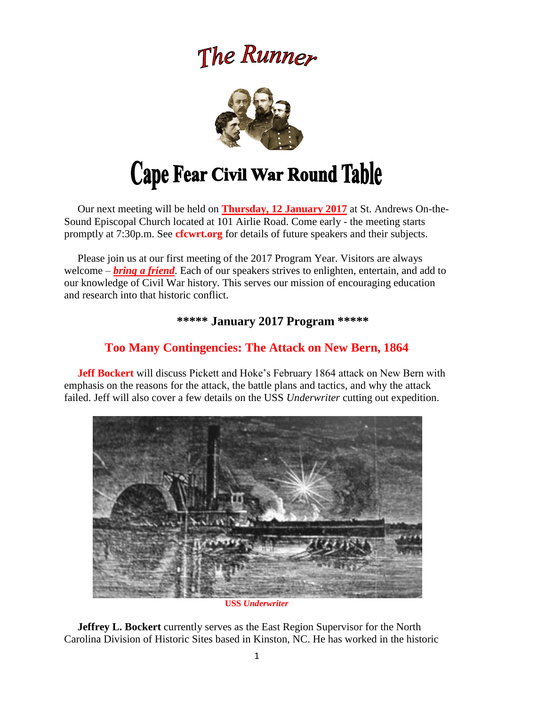# The Runner



 Our next meeting will be held on **Thursday, 12 January 2017** at St. Andrews On-the-Sound Episcopal Church located at 101 Airlie Road. Come early - the meeting starts promptly at 7:30p.m. See **cfcwrt.org** for details of future speakers and their subjects.

 Please join us at our first meeting of the 2017 Program Year. Visitors are always welcome – *bring a friend*. Each of our speakers strives to enlighten, entertain, and add to our knowledge of Civil War history. This serves our mission of encouraging education and research into that historic conflict.

# **\*\*\*\*\* January 2017 Program \*\*\*\*\***

# **Too Many Contingencies: The Attack on New Bern, 1864**

 **Jeff Bockert** will discuss Pickett and Hoke's February 1864 attack on New Bern with emphasis on the reasons for the attack, the battle plans and tactics, and why the attack failed. Jeff will also cover a few details on the USS *Underwriter* cutting out expedition.



**USS** *Underwriter*

 **Jeffrey L. Bockert** currently serves as the East Region Supervisor for the North Carolina Division of Historic Sites based in Kinston, NC. He has worked in the historic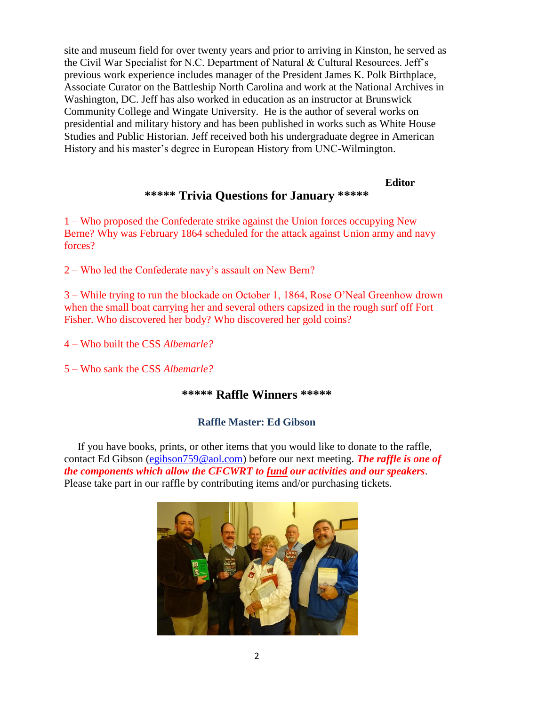site and museum field for over twenty years and prior to arriving in Kinston, he served as the Civil War Specialist for N.C. Department of Natural & Cultural Resources. Jeff's previous work experience includes manager of the President James K. Polk Birthplace, Associate Curator on the Battleship North Carolina and work at the National Archives in Washington, DC. Jeff has also worked in education as an instructor at Brunswick Community College and Wingate University. He is the author of several works on presidential and military history and has been published in works such as White House Studies and Public Historian. Jeff received both his undergraduate degree in American History and his master's degree in European History from UNC-Wilmington.

#### **Editor**

# **\*\*\*\*\* Trivia Questions for January \*\*\*\*\***

1 – Who proposed the Confederate strike against the Union forces occupying New Berne? Why was February 1864 scheduled for the attack against Union army and navy forces?

2 – Who led the Confederate navy's assault on New Bern?

3 – While trying to run the blockade on October 1, 1864, Rose O'Neal Greenhow drown when the small boat carrying her and several others capsized in the rough surf off Fort Fisher. Who discovered her body? Who discovered her gold coins?

4 – Who built the CSS *Albemarle?*

5 – Who sank the CSS *Albemarle?*

#### **\*\*\*\*\* Raffle Winners \*\*\*\*\***

#### **Raffle Master: Ed Gibson**

If you have books, prints, or other items that you would like to donate to the raffle, contact Ed Gibson [\(egibson759@aol.com\)](mailto:egibson759@aol.com) before our next meeting. *The raffle is one of the components which allow the CFCWRT to fund our activities and our speakers*. Please take part in our raffle by contributing items and/or purchasing tickets.

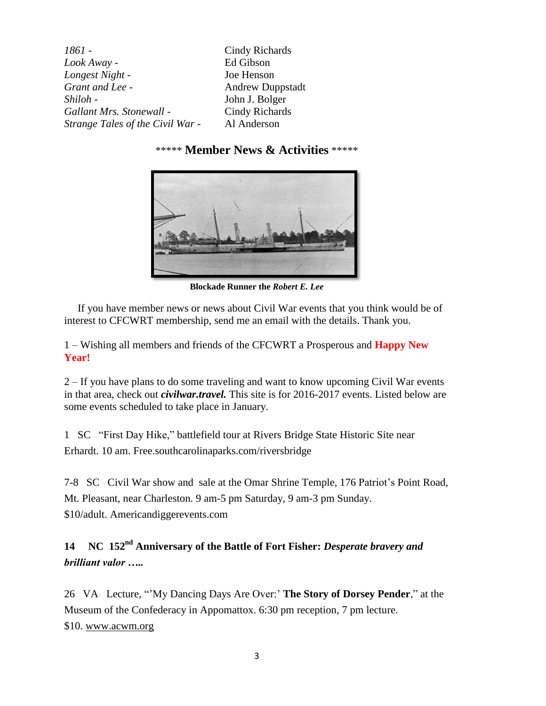| 1861 -                           | Cindy Richards          |
|----------------------------------|-------------------------|
| Look Away -                      | Ed Gibson               |
| Longest Night -                  | Joe Henson              |
| Grant and Lee -                  | <b>Andrew Duppstadt</b> |
| Shiloh -                         | John J. Bolger          |
| Gallant Mrs. Stonewall -         | Cindy Richards          |
| Strange Tales of the Civil War - | Al Anderson             |

# \*\*\*\*\* **Member News & Activities** \*\*\*\*\*



**Blockade Runner the** *Robert E. Lee*

 If you have member news or news about Civil War events that you think would be of interest to CFCWRT membership, send me an email with the details. Thank you.

1 – Wishing all members and friends of the CFCWRT a Prosperous and **Happy New Year!**

2 – If you have plans to do some traveling and want to know upcoming Civil War events in that area, check out *civilwar.travel.* This site is for 2016-2017 events. Listed below are some events scheduled to take place in January.

1 SC "First Day Hike," battlefield tour at Rivers Bridge State Historic Site near Erhardt. 10 am. Free[.southcarolinaparks.com/riversbridge](http://www.southcarolinaparks.com/riversbridge/introduction.aspx)

7-8 SC Civil War show and sale at the Omar Shrine Temple, 176 Patriot's Point Road, Mt. Pleasant, near Charleston. 9 am-5 pm Saturday, 9 am-3 pm Sunday. \$10/adult. [Americandiggerevents.com](http://americandiggerevents.com/)

**14 NC 152nd Anniversary of the Battle of Fort Fisher:** *Desperate bravery and brilliant valor …..*

26 VA Lecture, "'My Dancing Days Are Over:' **The Story of Dorsey Pender**," at the Museum of the Confederacy in Appomattox. 6:30 pm reception, 7 pm lecture. \$10. [www.acwm.org](http://www.acwm.org/)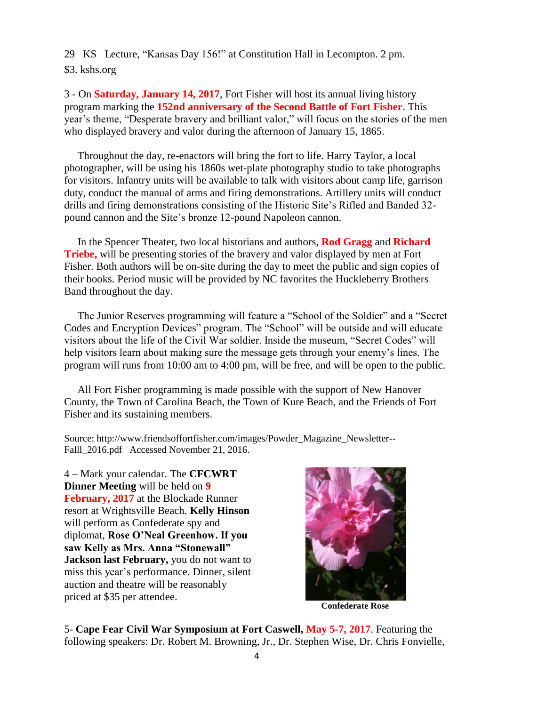29 KS Lecture, "Kansas Day 156!" at Constitution Hall in Lecompton. 2 pm.

\$3. [kshs.org](http://www.kshs.org/)

3 - On **Saturday, January 14, 2017**, Fort Fisher will host its annual living history program marking the **152nd anniversary of the Second Battle of Fort Fisher**. This year's theme, "Desperate bravery and brilliant valor," will focus on the stories of the men who displayed bravery and valor during the afternoon of January 15, 1865.

 Throughout the day, re-enactors will bring the fort to life. Harry Taylor, a local photographer, will be using his 1860s wet-plate photography studio to take photographs for visitors. Infantry units will be available to talk with visitors about camp life, garrison duty, conduct the manual of arms and firing demonstrations. Artillery units will conduct drills and firing demonstrations consisting of the Historic Site's Rifled and Banded 32 pound cannon and the Site's bronze 12-pound Napoleon cannon.

 In the Spencer Theater, two local historians and authors, **Rod Gragg** and **Richard Triebe,** will be presenting stories of the bravery and valor displayed by men at Fort Fisher. Both authors will be on-site during the day to meet the public and sign copies of their books. Period music will be provided by NC favorites the Huckleberry Brothers Band throughout the day.

 The Junior Reserves programming will feature a "School of the Soldier" and a "Secret Codes and Encryption Devices" program. The "School" will be outside and will educate visitors about the life of the Civil War soldier. Inside the museum, "Secret Codes" will help visitors learn about making sure the message gets through your enemy's lines. The program will runs from 10:00 am to 4:00 pm, will be free, and will be open to the public.

 All Fort Fisher programming is made possible with the support of New Hanover County, the Town of Carolina Beach, the Town of Kure Beach, and the Friends of Fort Fisher and its sustaining members.

Source: http://www.friendsoffortfisher.com/images/Powder\_Magazine\_Newsletter-- Falll\_2016.pdf Accessed November 21, 2016.

4 – Mark your calendar. The **CFCWRT Dinner Meeting** will be held on **9 February, 2017** at the Blockade Runner resort at Wrightsville Beach. **Kelly Hinson**  will perform as Confederate spy and diplomat, **Rose O'Neal Greenhow. If you saw Kelly as Mrs. Anna "Stonewall" Jackson last February,** you do not want to miss this year's performance. Dinner, silent auction and theatre will be reasonably priced at \$35 per attendee.



**Confederate Rose**

5- **Cape Fear Civil War Symposium at Fort Caswell, May 5-7, 2017**. Featuring the following speakers: Dr. Robert M. Browning, Jr., Dr. Stephen Wise, Dr. Chris Fonvielle,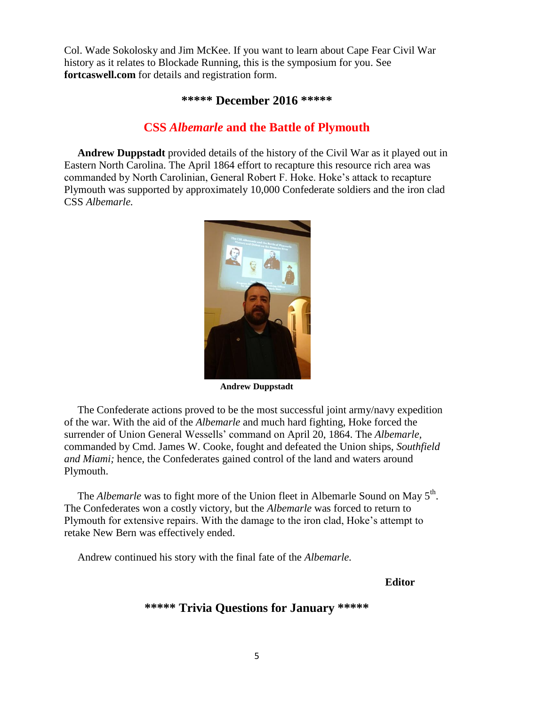Col. Wade Sokolosky and Jim McKee. If you want to learn about Cape Fear Civil War history as it relates to Blockade Running, this is the symposium for you. See **fortcaswell.com** for details and registration form.

#### **\*\*\*\*\* December 2016 \*\*\*\*\***

# **CSS** *Albemarle* **and the Battle of Plymouth**

 **Andrew Duppstadt** provided details of the history of the Civil War as it played out in Eastern North Carolina. The April 1864 effort to recapture this resource rich area was commanded by North Carolinian, General Robert F. Hoke. Hoke's attack to recapture Plymouth was supported by approximately 10,000 Confederate soldiers and the iron clad CSS *Albemarle.* 



**Andrew Duppstadt**

 The Confederate actions proved to be the most successful joint army/navy expedition of the war. With the aid of the *Albemarle* and much hard fighting, Hoke forced the surrender of Union General Wessells' command on April 20, 1864. The *Albemarle,* commanded by Cmd. James W. Cooke, fought and defeated the Union ships, *Southfield and Miami;* hence, the Confederates gained control of the land and waters around Plymouth.

The *Albemarle* was to fight more of the Union fleet in Albemarle Sound on May 5<sup>th</sup>. The Confederates won a costly victory, but the *Albemarle* was forced to return to Plymouth for extensive repairs. With the damage to the iron clad, Hoke's attempt to retake New Bern was effectively ended.

Andrew continued his story with the final fate of the *Albemarle.*

#### **Editor**

# **\*\*\*\*\* Trivia Questions for January \*\*\*\*\***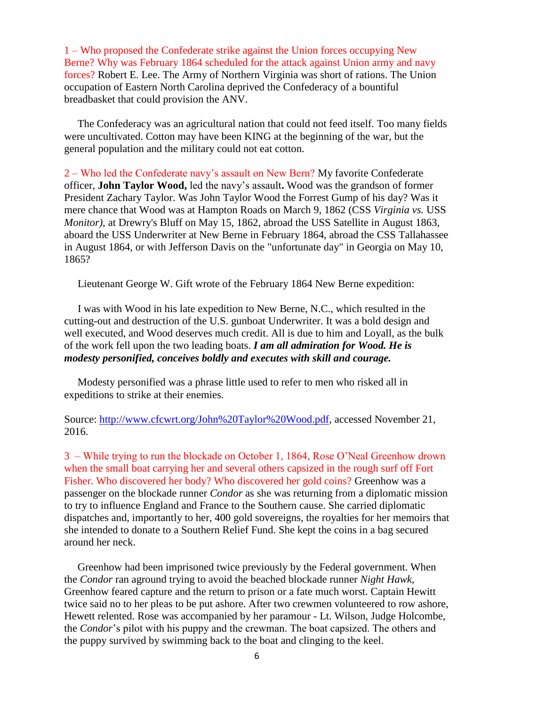1 – Who proposed the Confederate strike against the Union forces occupying New Berne? Why was February 1864 scheduled for the attack against Union army and navy forces? Robert E. Lee. The Army of Northern Virginia was short of rations. The Union occupation of Eastern North Carolina deprived the Confederacy of a bountiful breadbasket that could provision the ANV.

 The Confederacy was an agricultural nation that could not feed itself. Too many fields were uncultivated. Cotton may have been KING at the beginning of the war, but the general population and the military could not eat cotton.

2 – Who led the Confederate navy's assault on New Bern? My favorite Confederate officer, **John Taylor Wood,** led the navy's assault**.** Wood was the grandson of former President Zachary Taylor. Was John Taylor Wood the Forrest Gump of his day? Was it mere chance that Wood was at Hampton Roads on March 9, 1862 (CSS *Virginia vs.* USS *Monitor)*, at Drewry's Bluff on May 15, 1862, abroad the USS Satellite in August 1863, aboard the USS Underwriter at New Berne in February 1864, abroad the CSS Tallahassee in August 1864, or with Jefferson Davis on the "unfortunate day" in Georgia on May 10, 1865?

Lieutenant George W. Gift wrote of the February 1864 New Berne expedition:

 I was with Wood in his late expedition to New Berne, N.C., which resulted in the cutting-out and destruction of the U.S. gunboat Underwriter. It was a bold design and well executed, and Wood deserves much credit. All is due to him and Loyall, as the bulk of the work fell upon the two leading boats. *I am all admiration for Wood. He is modesty personified, conceives boldly and executes with skill and courage.* 

 Modesty personified was a phrase little used to refer to men who risked all in expeditions to strike at their enemies.

Source: [http://www.cfcwrt.org/John%20Taylor%20Wood.pdf,](http://www.cfcwrt.org/John%20Taylor%20Wood.pdf) accessed November 21, 2016.

3 – While trying to run the blockade on October 1, 1864, Rose O'Neal Greenhow drown when the small boat carrying her and several others capsized in the rough surf off Fort Fisher. Who discovered her body? Who discovered her gold coins? Greenhow was a passenger on the blockade runner *Condor* as she was returning from a diplomatic mission to try to influence England and France to the Southern cause. She carried diplomatic dispatches and, importantly to her, 400 gold sovereigns, the royalties for her memoirs that she intended to donate to a Southern Relief Fund. She kept the coins in a bag secured around her neck.

 Greenhow had been imprisoned twice previously by the Federal government. When the *Condor* ran aground trying to avoid the beached blockade runner *Night Hawk,*  Greenhow feared capture and the return to prison or a fate much worst. Captain Hewitt twice said no to her pleas to be put ashore. After two crewmen volunteered to row ashore, Hewett relented. Rose was accompanied by her paramour - Lt. Wilson, Judge Holcombe, the *Condor*'s pilot with his puppy and the crewman. The boat capsized. The others and the puppy survived by swimming back to the boat and clinging to the keel.